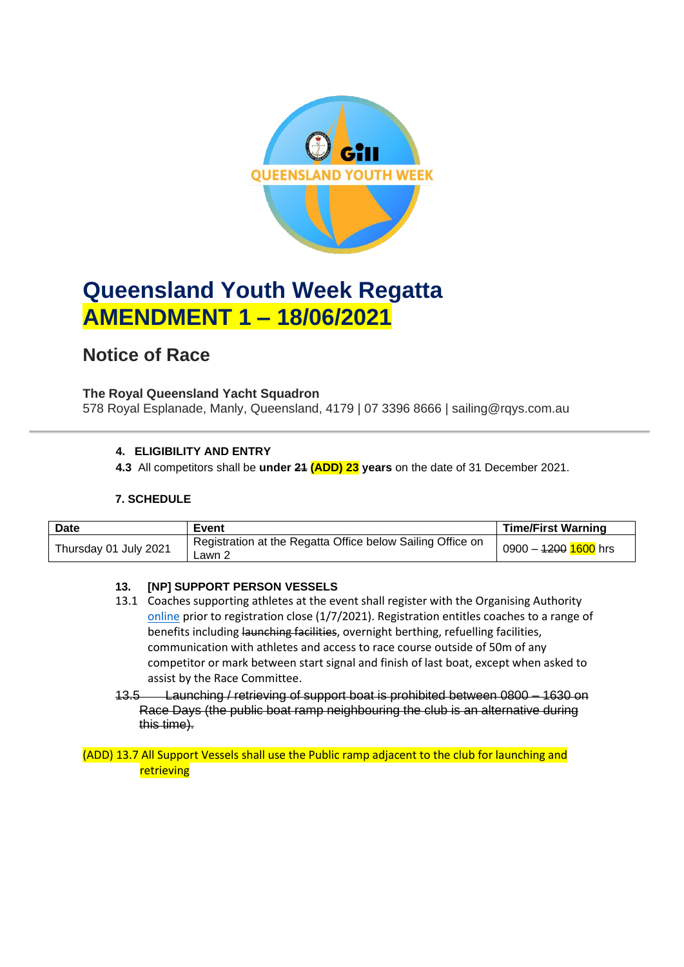

# **Queensland Youth Week Regatta AMENDMENT 1 – 18/06/2021**

## **Notice of Race**

### **The Royal Queensland Yacht Squadron**

578 Royal Esplanade, Manly, Queensland, 4179 | 07 3396 8666 | sailing@rqys.com.au

### **4. ELIGIBILITY AND ENTRY**

**4.3** All competitors shall be **under 21 (ADD) 23 years** on the date of 31 December 2021.

### **7. SCHEDULE**

| <b>Date</b>           | Event                                                                | <b>Time/First Warning</b>       |
|-----------------------|----------------------------------------------------------------------|---------------------------------|
| Thursday 01 July 2021 | Registration at the Regatta Office below Sailing Office on<br>Lawn 2 | 0900 – <del>1200</del> 1600 hrs |

### **13. [NP] SUPPORT PERSON VESSELS**

- 13.1 Coaches supporting athletes at the event shall register with the Organising Authority [online](https://www.rqys.com.au/2021-queensland-youth-week/) prior to registration close (1/7/2021). Registration entitles coaches to a range of benefits including launching facilities, overnight berthing, refuelling facilities, communication with athletes and access to race course outside of 50m of any competitor or mark between start signal and finish of last boat, except when asked to assist by the Race Committee.
- 13.5 Launching / retrieving of support boat is prohibited between 0800 1630 on Race Days (the public boat ramp neighbouring the club is an alternative during this time).

(ADD) 13.7 All Support Vessels shall use the Public ramp adjacent to the club for launching and **retrieving**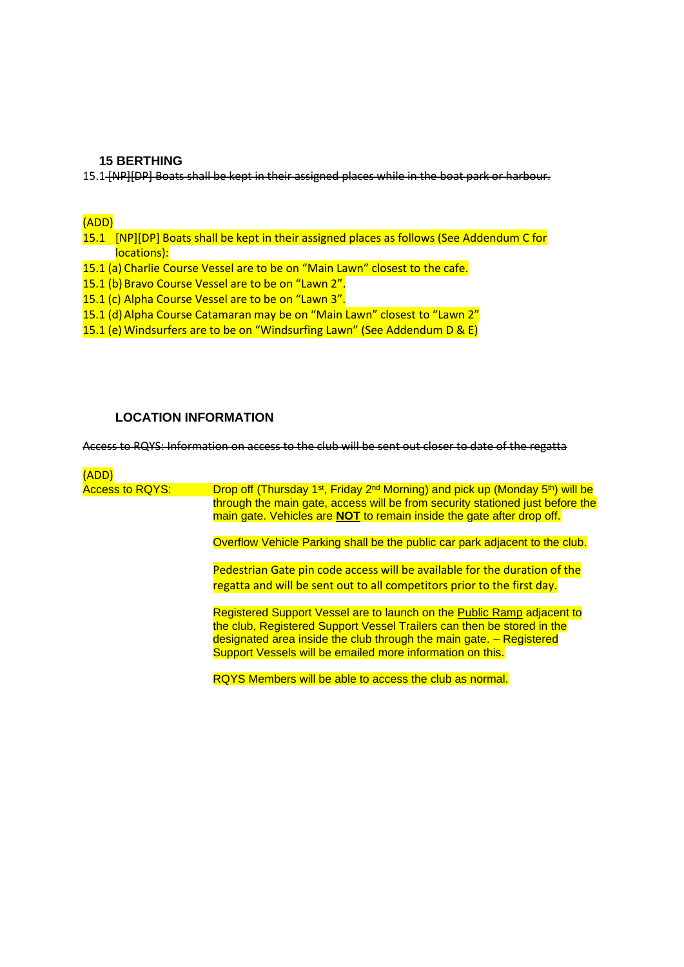### **15 BERTHING**

15.1 [NP][DP] Boats shall be kept in their assigned places while in the boat park or harbour.

| <b>Contract Contract Contract Contract Contract Contract Contract Contract Contract Contract Contract Contract C</b> | <u> 1989 - Johann Stoff, deutscher Stoffen und der Stoffen und der Stoffen und der Stoffen und der Stoffen und der</u><br><b>Contract Contract Contract Contract Contract Contract Contract Contract Contract Contract Contract Contract Co</b><br>$\mathcal{L}^{\text{max}}_{\text{max}}$ and $\mathcal{L}^{\text{max}}_{\text{max}}$ and $\mathcal{L}^{\text{max}}_{\text{max}}$<br><b>Contract Contract Contract Contract Contract Contract Contract Contract Contract Contract Contract Contract Co</b> |  |
|----------------------------------------------------------------------------------------------------------------------|-------------------------------------------------------------------------------------------------------------------------------------------------------------------------------------------------------------------------------------------------------------------------------------------------------------------------------------------------------------------------------------------------------------------------------------------------------------------------------------------------------------|--|
|                                                                                                                      |                                                                                                                                                                                                                                                                                                                                                                                                                                                                                                             |  |

15.1 [NP][DP] Boats shall be kept in their assigned places as follows (See Addendum C for locations):

- 15.1 (a) Charlie Course Vessel are to be on "Main Lawn" closest to the cafe.
- 15.1 (b) Bravo Course Vessel are to be on "Lawn 2".
- 15.1 (c) Alpha Course Vessel are to be on "Lawn 3".
- 15.1 (d) Alpha Course Catamaran may be on "Main Lawn" closest to "Lawn 2"
- 15.1 (e) Windsurfers are to be on "Windsurfing Lawn" (See Addendum D & E)

### **LOCATION INFORMATION**

Access to RQYS: Information on access to the club will be sent out closer to date of the regatta

| (ADD)           |                                                                                                                                                                                                                                                                                      |
|-----------------|--------------------------------------------------------------------------------------------------------------------------------------------------------------------------------------------------------------------------------------------------------------------------------------|
| Access to RQYS: | Drop off (Thursday 1 <sup>st</sup> , Friday 2 <sup>nd</sup> Morning) and pick up (Monday 5 <sup>th</sup> ) will be<br>through the main gate, access will be from security stationed just before the<br>main gate. Vehicles are <b>NOT</b> to remain inside the gate after drop off.  |
|                 | Overflow Vehicle Parking shall be the public car park adjacent to the club.                                                                                                                                                                                                          |
|                 | Pedestrian Gate pin code access will be available for the duration of the<br>regatta and will be sent out to all competitors prior to the first day.                                                                                                                                 |
|                 | Registered Support Vessel are to launch on the Public Ramp adjacent to<br>the club, Registered Support Vessel Trailers can then be stored in the<br>designated area inside the club through the main gate. - Registered<br>Support Vessels will be emailed more information on this. |
|                 | <b>RQYS Members will be able to access the club as normal.</b>                                                                                                                                                                                                                       |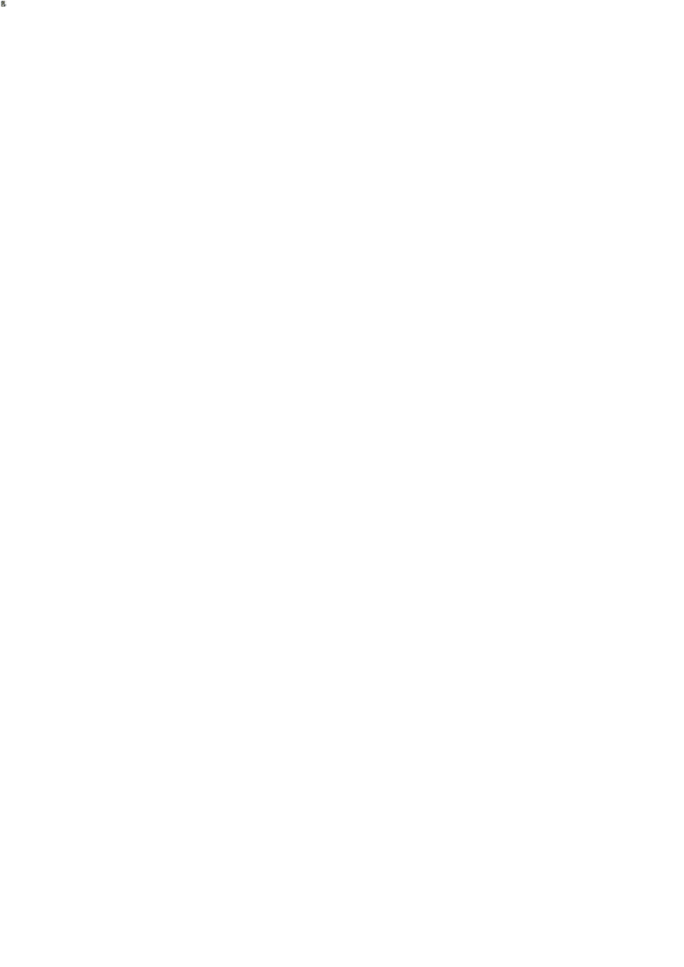Ş,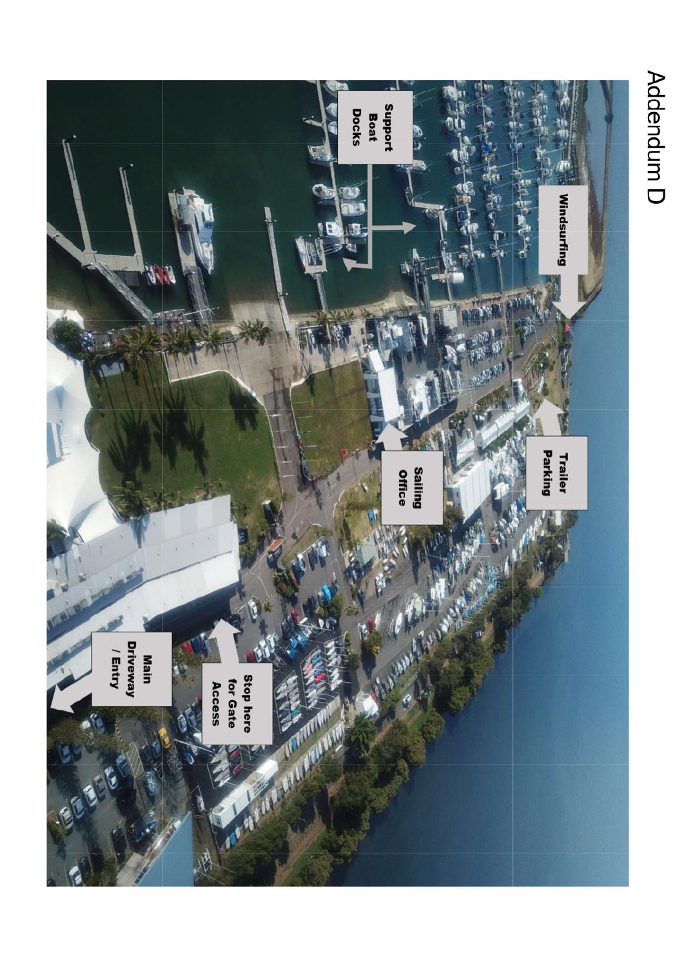Addendum D